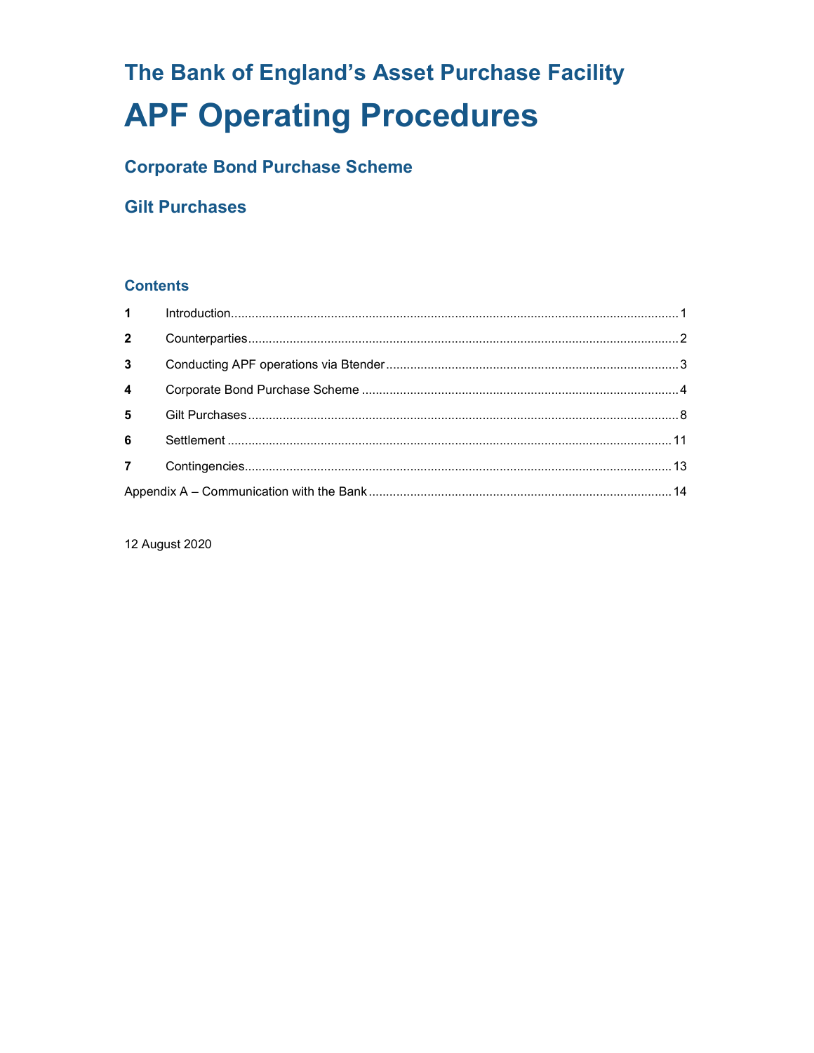# The Bank of England's Asset Purchase Facility **APF Operating Procedures**

# **Corporate Bond Purchase Scheme**

## **Gilt Purchases**

## **Contents**

| $\overline{2}$ |  |  |
|----------------|--|--|
| $3^{\circ}$    |  |  |
| $\overline{4}$ |  |  |
| $5^{\circ}$    |  |  |
| $6^{\circ}$    |  |  |
|                |  |  |
|                |  |  |

12 August 2020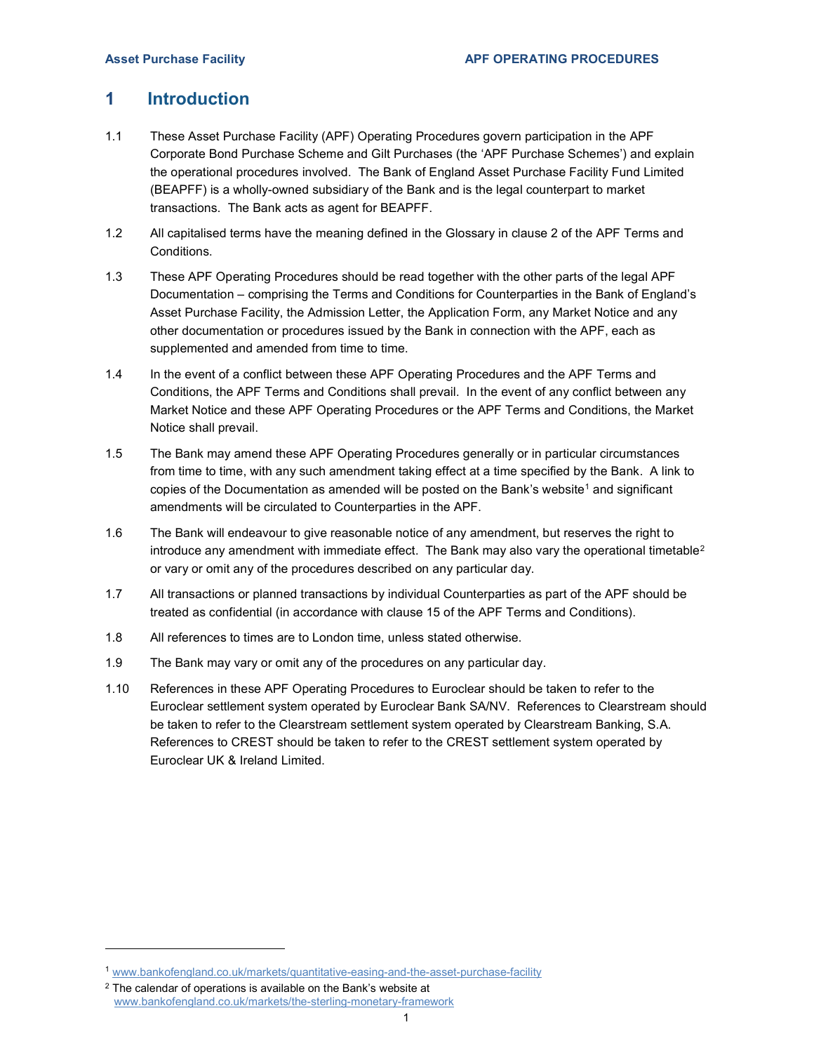## 1 Introduction

- 1.1 These Asset Purchase Facility (APF) Operating Procedures govern participation in the APF Corporate Bond Purchase Scheme and Gilt Purchases (the 'APF Purchase Schemes') and explain the operational procedures involved. The Bank of England Asset Purchase Facility Fund Limited (BEAPFF) is a wholly-owned subsidiary of the Bank and is the legal counterpart to market transactions. The Bank acts as agent for BEAPFF.
- 1.2 All capitalised terms have the meaning defined in the Glossary in clause 2 of the APF Terms and Conditions.
- 1.3 These APF Operating Procedures should be read together with the other parts of the legal APF Documentation – comprising the Terms and Conditions for Counterparties in the Bank of England's Asset Purchase Facility, the Admission Letter, the Application Form, any Market Notice and any other documentation or procedures issued by the Bank in connection with the APF, each as supplemented and amended from time to time.
- 1.4 In the event of a conflict between these APF Operating Procedures and the APF Terms and Conditions, the APF Terms and Conditions shall prevail. In the event of any conflict between any Market Notice and these APF Operating Procedures or the APF Terms and Conditions, the Market Notice shall prevail.
- 1.5 The Bank may amend these APF Operating Procedures generally or in particular circumstances from time to time, with any such amendment taking effect at a time specified by the Bank. A link to copies of the Documentation as amended will be posted on the Bank's website<sup>1</sup> and significant amendments will be circulated to Counterparties in the APF.
- 1.6 The Bank will endeavour to give reasonable notice of any amendment, but reserves the right to introduce any amendment with immediate effect. The Bank may also vary the operational timetable<sup>2</sup> or vary or omit any of the procedures described on any particular day.
- 1.7 All transactions or planned transactions by individual Counterparties as part of the APF should be treated as confidential (in accordance with clause 15 of the APF Terms and Conditions).
- 1.8 All references to times are to London time, unless stated otherwise.
- 1.9 The Bank may vary or omit any of the procedures on any particular day.
- 1.10 References in these APF Operating Procedures to Euroclear should be taken to refer to the Euroclear settlement system operated by Euroclear Bank SA/NV. References to Clearstream should be taken to refer to the Clearstream settlement system operated by Clearstream Banking, S.A. References to CREST should be taken to refer to the CREST settlement system operated by Euroclear UK & Ireland Limited.

i<br>I

<sup>1</sup> www.bankofengland.co.uk/markets/quantitative-easing-and-the-asset-purchase-facility

 $2$  The calendar of operations is available on the Bank's website at www.bankofengland.co.uk/markets/the-sterling-monetary-framework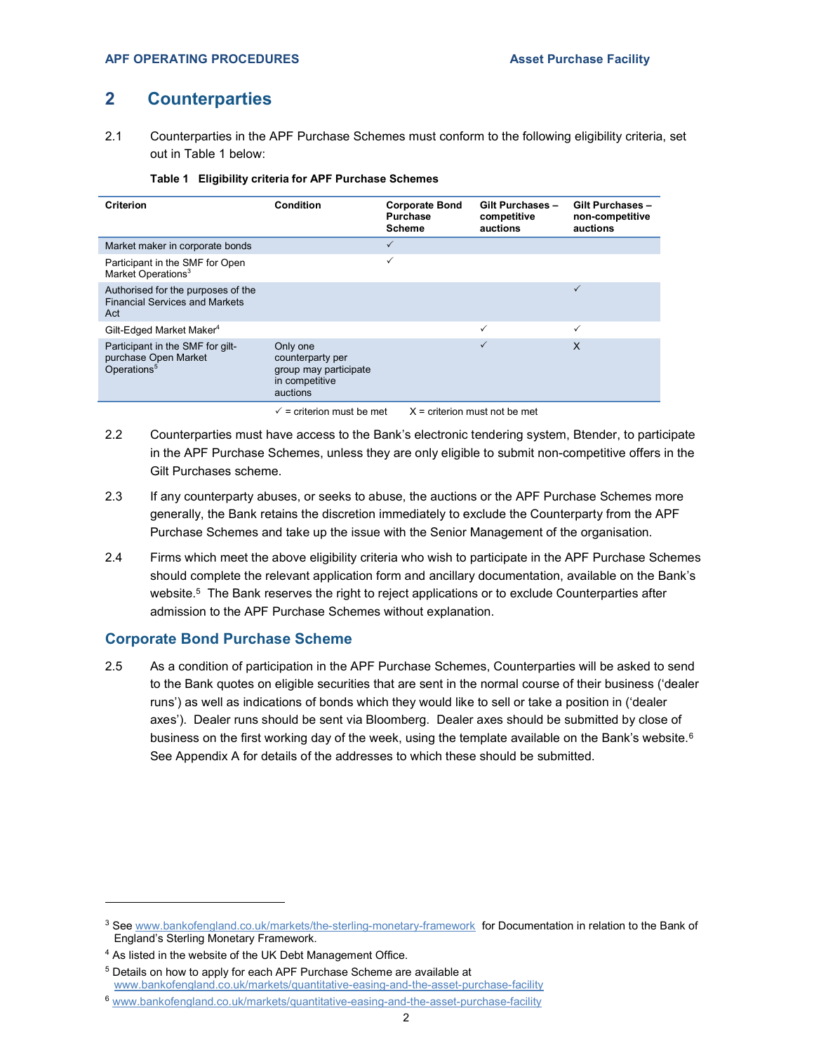$\checkmark$ 

 $\checkmark$  x

Gilt Purchases – non-competitive auctions

## 2 Counterparties

Authorised for the purposes of the Financial Services and Markets

Participant in the SMF for giltpurchase Open Market

Act

Operations<sup>5</sup>

2.1 Counterparties in the APF Purchase Schemes must conform to the following eligibility criteria, set out in Table 1 below:

| Criterion                                                         | Condition | <b>Corporate Bond</b><br><b>Purchase</b><br><b>Scheme</b> | Gilt Purchases -<br>competitive<br>auctions |
|-------------------------------------------------------------------|-----------|-----------------------------------------------------------|---------------------------------------------|
| Market maker in corporate bonds                                   |           |                                                           |                                             |
| Participant in the SMF for Open<br>Market Operations <sup>3</sup> |           |                                                           |                                             |

Gilt-Edged Market Maker<sup>4</sup>

#### Table 1 Eligibility criteria for APF Purchase Schemes

Only one counterparty per group may participate in competitive auctions

2.2 Counterparties must have access to the Bank's electronic tendering system, Btender, to participate in the APF Purchase Schemes, unless they are only eligible to submit non-competitive offers in the Gilt Purchases scheme.

 $\checkmark$  = criterion must be met  $X$  = criterion must not be met

- 2.3 If any counterparty abuses, or seeks to abuse, the auctions or the APF Purchase Schemes more generally, the Bank retains the discretion immediately to exclude the Counterparty from the APF Purchase Schemes and take up the issue with the Senior Management of the organisation.
- 2.4 Firms which meet the above eligibility criteria who wish to participate in the APF Purchase Schemes should complete the relevant application form and ancillary documentation, available on the Bank's website.<sup>5</sup> The Bank reserves the right to reject applications or to exclude Counterparties after admission to the APF Purchase Schemes without explanation.

#### Corporate Bond Purchase Scheme

2.5 As a condition of participation in the APF Purchase Schemes, Counterparties will be asked to send to the Bank quotes on eligible securities that are sent in the normal course of their business ('dealer runs') as well as indications of bonds which they would like to sell or take a position in ('dealer axes'). Dealer runs should be sent via Bloomberg. Dealer axes should be submitted by close of business on the first working day of the week, using the template available on the Bank's website.<sup>6</sup> See Appendix A for details of the addresses to which these should be submitted.

<sup>&</sup>lt;sup>3</sup> See www.bankofengland.co.uk/markets/the-sterling-monetary-framework for Documentation in relation to the Bank of England's Sterling Monetary Framework.

<sup>&</sup>lt;sup>4</sup> As listed in the website of the UK Debt Management Office.

<sup>5</sup> Details on how to apply for each APF Purchase Scheme are available at www.bankofengland.co.uk/markets/quantitative-easing-and-the-asset-purchase-facility

<sup>6</sup> www.bankofengland.co.uk/markets/quantitative-easing-and-the-asset-purchase-facility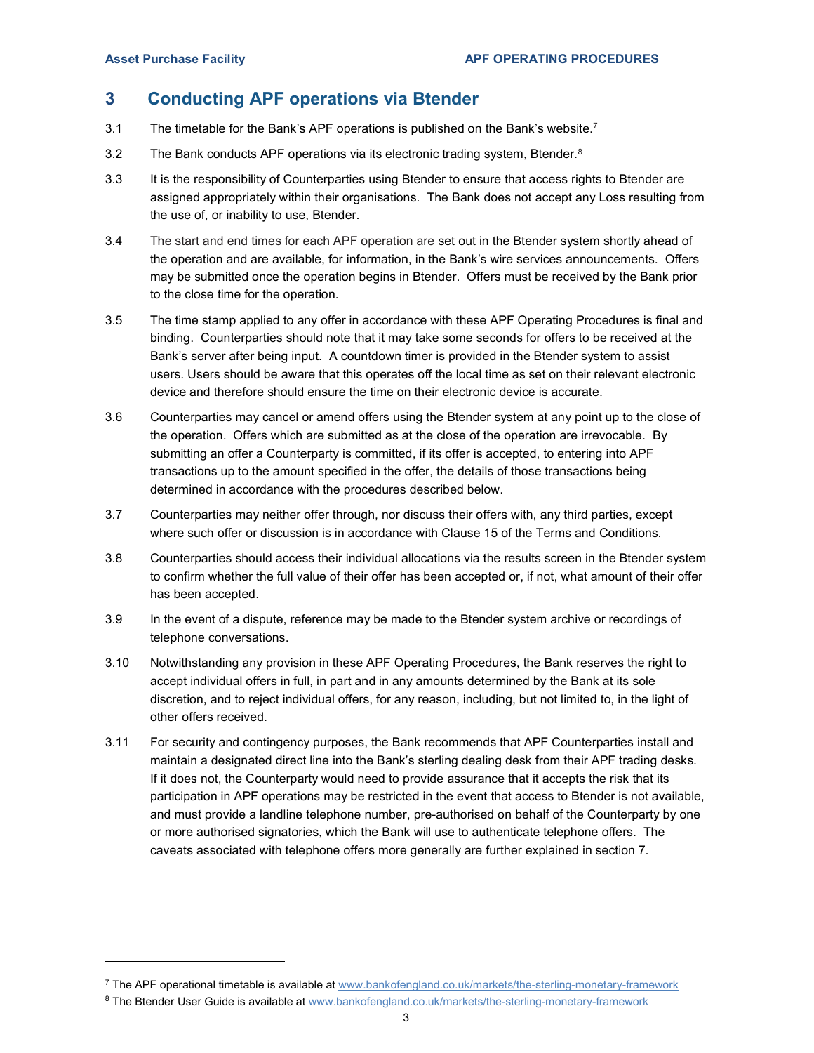## 3 Conducting APF operations via Btender

- 3.1 The timetable for the Bank's APF operations is published on the Bank's website.<sup>7</sup>
- 3.2 The Bank conducts APF operations via its electronic trading system, Btender. $8$
- 3.3 It is the responsibility of Counterparties using Btender to ensure that access rights to Btender are assigned appropriately within their organisations. The Bank does not accept any Loss resulting from the use of, or inability to use, Btender.
- 3.4 The start and end times for each APF operation are set out in the Btender system shortly ahead of the operation and are available, for information, in the Bank's wire services announcements. Offers may be submitted once the operation begins in Btender. Offers must be received by the Bank prior to the close time for the operation.
- 3.5 The time stamp applied to any offer in accordance with these APF Operating Procedures is final and binding. Counterparties should note that it may take some seconds for offers to be received at the Bank's server after being input. A countdown timer is provided in the Btender system to assist users. Users should be aware that this operates off the local time as set on their relevant electronic device and therefore should ensure the time on their electronic device is accurate.
- 3.6 Counterparties may cancel or amend offers using the Btender system at any point up to the close of the operation. Offers which are submitted as at the close of the operation are irrevocable. By submitting an offer a Counterparty is committed, if its offer is accepted, to entering into APF transactions up to the amount specified in the offer, the details of those transactions being determined in accordance with the procedures described below.
- 3.7 Counterparties may neither offer through, nor discuss their offers with, any third parties, except where such offer or discussion is in accordance with Clause 15 of the Terms and Conditions.
- 3.8 Counterparties should access their individual allocations via the results screen in the Btender system to confirm whether the full value of their offer has been accepted or, if not, what amount of their offer has been accepted.
- 3.9 In the event of a dispute, reference may be made to the Btender system archive or recordings of telephone conversations.
- 3.10 Notwithstanding any provision in these APF Operating Procedures, the Bank reserves the right to accept individual offers in full, in part and in any amounts determined by the Bank at its sole discretion, and to reject individual offers, for any reason, including, but not limited to, in the light of other offers received.
- 3.11 For security and contingency purposes, the Bank recommends that APF Counterparties install and maintain a designated direct line into the Bank's sterling dealing desk from their APF trading desks. If it does not, the Counterparty would need to provide assurance that it accepts the risk that its participation in APF operations may be restricted in the event that access to Btender is not available, and must provide a landline telephone number, pre-authorised on behalf of the Counterparty by one or more authorised signatories, which the Bank will use to authenticate telephone offers. The caveats associated with telephone offers more generally are further explained in section 7.

<sup>7</sup> The APF operational timetable is available at www.bankofengland.co.uk/markets/the-sterling-monetary-framework

 $^8$  The Btender User Guide is available at  $\textit{www.bankofengland.co.uk/markets/the-sterling-monetary-framework}$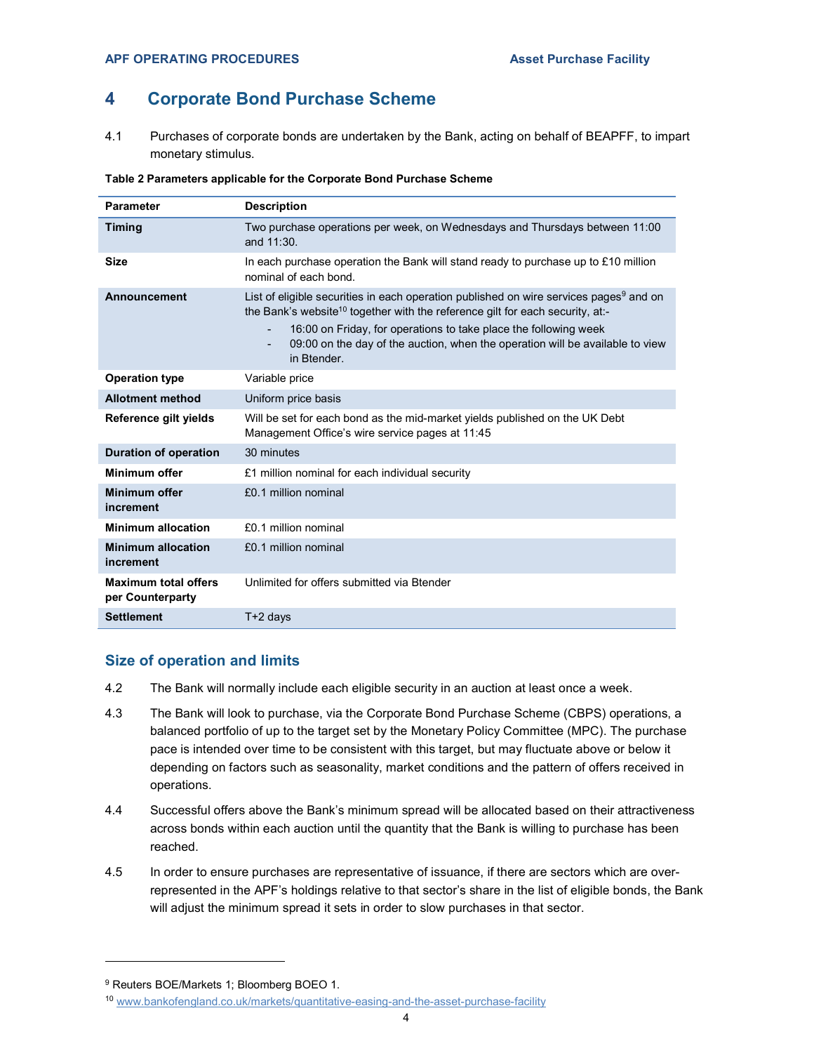## 4 Corporate Bond Purchase Scheme

4.1 Purchases of corporate bonds are undertaken by the Bank, acting on behalf of BEAPFF, to impart monetary stimulus.

| Table 2 Parameters applicable for the Corporate Bond Purchase Scheme |
|----------------------------------------------------------------------|
|----------------------------------------------------------------------|

| <b>Parameter</b>                                | <b>Description</b>                                                                                                                                                                                                                                                                                                                                                                                   |
|-------------------------------------------------|------------------------------------------------------------------------------------------------------------------------------------------------------------------------------------------------------------------------------------------------------------------------------------------------------------------------------------------------------------------------------------------------------|
| <b>Timing</b>                                   | Two purchase operations per week, on Wednesdays and Thursdays between 11:00<br>and $11:30$ .                                                                                                                                                                                                                                                                                                         |
| Size                                            | In each purchase operation the Bank will stand ready to purchase up to $£10$ million<br>nominal of each bond.                                                                                                                                                                                                                                                                                        |
| Announcement                                    | List of eligible securities in each operation published on wire services pages <sup>9</sup> and on<br>the Bank's website <sup>10</sup> together with the reference gilt for each security, at:-<br>16:00 on Friday, for operations to take place the following week<br>$\overline{\phantom{a}}$<br>09:00 on the day of the auction, when the operation will be available to view<br>٠<br>in Btender. |
| <b>Operation type</b>                           | Variable price                                                                                                                                                                                                                                                                                                                                                                                       |
| <b>Allotment method</b>                         | Uniform price basis                                                                                                                                                                                                                                                                                                                                                                                  |
| Reference gilt yields                           | Will be set for each bond as the mid-market yields published on the UK Debt<br>Management Office's wire service pages at 11:45                                                                                                                                                                                                                                                                       |
| Duration of operation                           | 30 minutes                                                                                                                                                                                                                                                                                                                                                                                           |
| Minimum offer                                   | £1 million nominal for each individual security                                                                                                                                                                                                                                                                                                                                                      |
| Minimum offer<br>increment                      | £0.1 million nominal                                                                                                                                                                                                                                                                                                                                                                                 |
| <b>Minimum allocation</b>                       | £0.1 million nominal                                                                                                                                                                                                                                                                                                                                                                                 |
| <b>Minimum allocation</b><br>increment          | £0.1 million nominal                                                                                                                                                                                                                                                                                                                                                                                 |
| <b>Maximum total offers</b><br>per Counterparty | Unlimited for offers submitted via Btender                                                                                                                                                                                                                                                                                                                                                           |
| <b>Settlement</b>                               | $T+2$ days                                                                                                                                                                                                                                                                                                                                                                                           |

#### Size of operation and limits

- 4.2 The Bank will normally include each eligible security in an auction at least once a week.
- 4.3 The Bank will look to purchase, via the Corporate Bond Purchase Scheme (CBPS) operations, a balanced portfolio of up to the target set by the Monetary Policy Committee (MPC). The purchase pace is intended over time to be consistent with this target, but may fluctuate above or below it depending on factors such as seasonality, market conditions and the pattern of offers received in operations.
- 4.4 Successful offers above the Bank's minimum spread will be allocated based on their attractiveness across bonds within each auction until the quantity that the Bank is willing to purchase has been reached.
- 4.5 In order to ensure purchases are representative of issuance, if there are sectors which are overrepresented in the APF's holdings relative to that sector's share in the list of eligible bonds, the Bank will adjust the minimum spread it sets in order to slow purchases in that sector.

<sup>9</sup> Reuters BOE/Markets 1; Bloomberg BOEO 1.

<sup>10</sup> www.bankofengland.co.uk/markets/quantitative-easing-and-the-asset-purchase-facility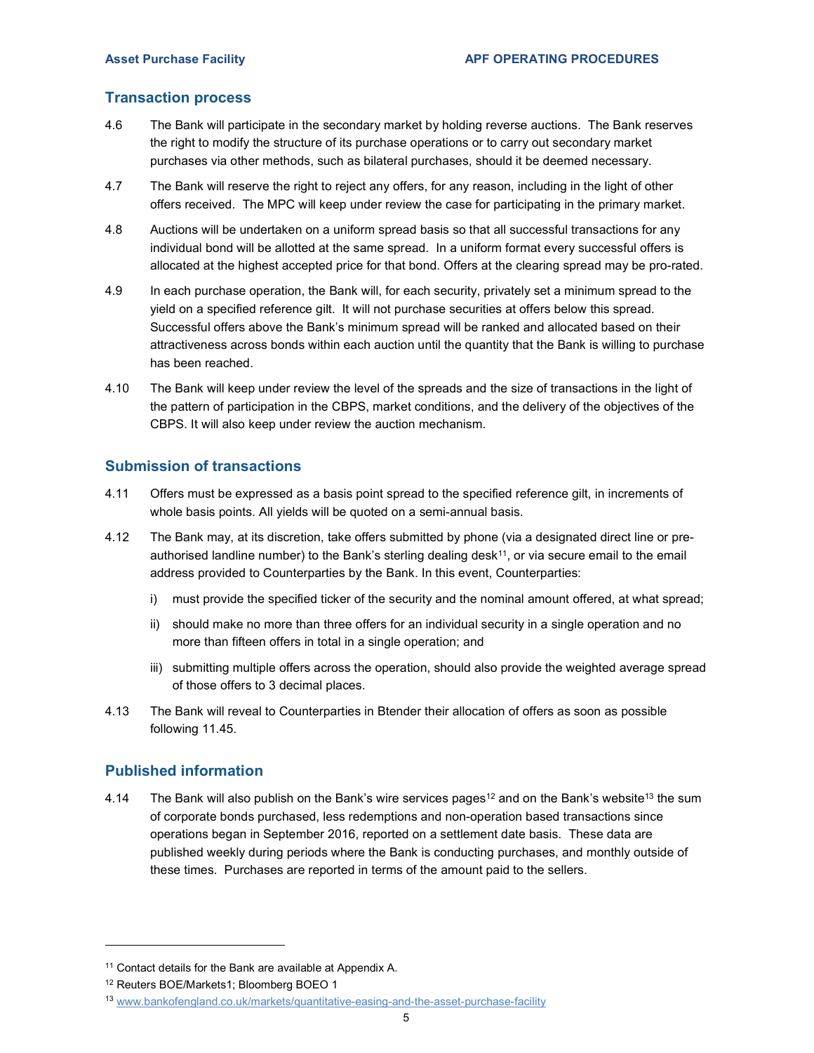#### Transaction process

- 4.6 The Bank will participate in the secondary market by holding reverse auctions. The Bank reserves the right to modify the structure of its purchase operations or to carry out secondary market purchases via other methods, such as bilateral purchases, should it be deemed necessary.
- 4.7 The Bank will reserve the right to reject any offers, for any reason, including in the light of other offers received. The MPC will keep under review the case for participating in the primary market.
- 4.8 Auctions will be undertaken on a uniform spread basis so that all successful transactions for any individual bond will be allotted at the same spread. In a uniform format every successful offers is allocated at the highest accepted price for that bond. Offers at the clearing spread may be pro-rated.
- 4.9 In each purchase operation, the Bank will, for each security, privately set a minimum spread to the yield on a specified reference gilt. It will not purchase securities at offers below this spread. Successful offers above the Bank's minimum spread will be ranked and allocated based on their attractiveness across bonds within each auction until the quantity that the Bank is willing to purchase has been reached.
- 4.10 The Bank will keep under review the level of the spreads and the size of transactions in the light of the pattern of participation in the CBPS, market conditions, and the delivery of the objectives of the CBPS. It will also keep under review the auction mechanism.

#### Submission of transactions

- 4.11 Offers must be expressed as a basis point spread to the specified reference gilt, in increments of whole basis points. All yields will be quoted on a semi-annual basis.
- 4.12 The Bank may, at its discretion, take offers submitted by phone (via a designated direct line or preauthorised landline number) to the Bank's sterling dealing desk $11$ , or via secure email to the email address provided to Counterparties by the Bank. In this event, Counterparties:
	- i) must provide the specified ticker of the security and the nominal amount offered, at what spread;
	- ii) should make no more than three offers for an individual security in a single operation and no more than fifteen offers in total in a single operation; and
	- iii) submitting multiple offers across the operation, should also provide the weighted average spread of those offers to 3 decimal places.
- 4.13 The Bank will reveal to Counterparties in Btender their allocation of offers as soon as possible following 11.45.

## Published information

4.14 The Bank will also publish on the Bank's wire services pages<sup>12</sup> and on the Bank's website<sup>13</sup> the sum of corporate bonds purchased, less redemptions and non-operation based transactions since operations began in September 2016, reported on a settlement date basis. These data are published weekly during periods where the Bank is conducting purchases, and monthly outside of these times. Purchases are reported in terms of the amount paid to the sellers.

<sup>&</sup>lt;sup>11</sup> Contact details for the Bank are available at Appendix A.

<sup>12</sup> Reuters BOE/Markets1; Bloomberg BOEO 1

<sup>13</sup> www.bankofengland.co.uk/markets/quantitative-easing-and-the-asset-purchase-facility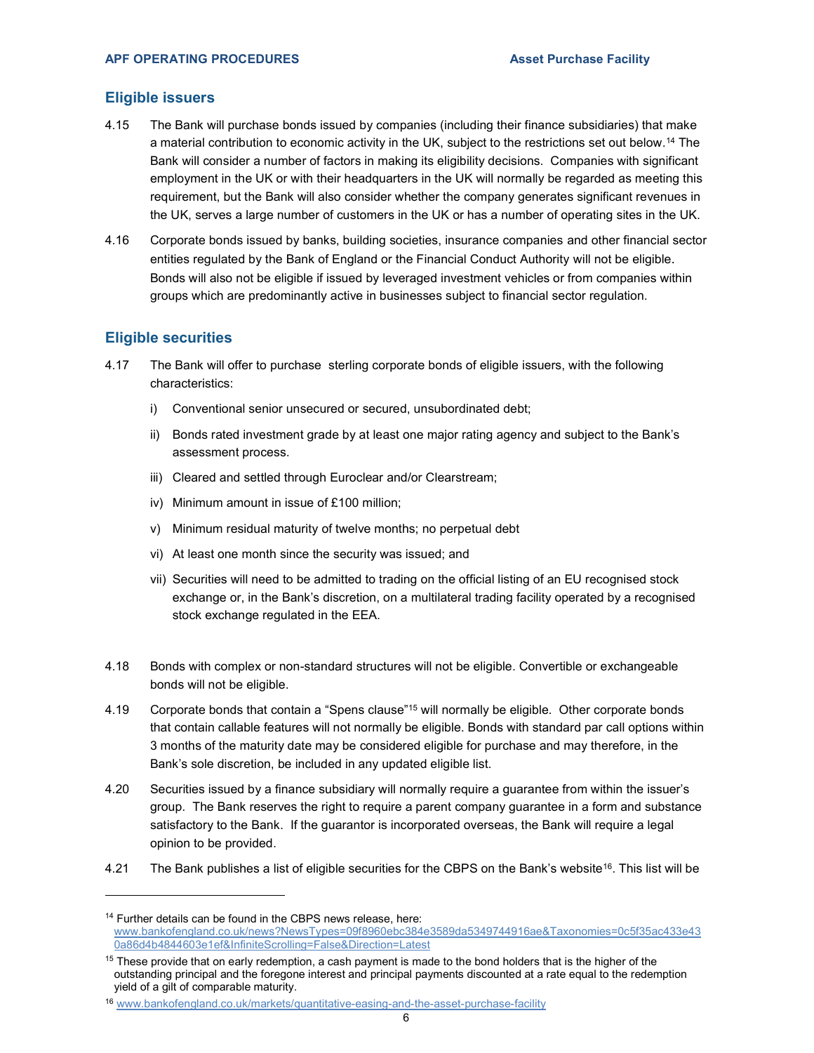#### Eligible issuers

- 4.15 The Bank will purchase bonds issued by companies (including their finance subsidiaries) that make a material contribution to economic activity in the UK, subject to the restrictions set out below.<sup>14</sup> The Bank will consider a number of factors in making its eligibility decisions. Companies with significant employment in the UK or with their headquarters in the UK will normally be regarded as meeting this requirement, but the Bank will also consider whether the company generates significant revenues in the UK, serves a large number of customers in the UK or has a number of operating sites in the UK.
- 4.16 Corporate bonds issued by banks, building societies, insurance companies and other financial sector entities regulated by the Bank of England or the Financial Conduct Authority will not be eligible. Bonds will also not be eligible if issued by leveraged investment vehicles or from companies within groups which are predominantly active in businesses subject to financial sector regulation.

#### Eligible securities

- 4.17 The Bank will offer to purchase sterling corporate bonds of eligible issuers, with the following characteristics:
	- i) Conventional senior unsecured or secured, unsubordinated debt;
	- ii) Bonds rated investment grade by at least one major rating agency and subject to the Bank's assessment process.
	- iii) Cleared and settled through Euroclear and/or Clearstream;
	- iv) Minimum amount in issue of £100 million;
	- v) Minimum residual maturity of twelve months; no perpetual debt
	- vi) At least one month since the security was issued; and
	- vii) Securities will need to be admitted to trading on the official listing of an EU recognised stock exchange or, in the Bank's discretion, on a multilateral trading facility operated by a recognised stock exchange regulated in the EEA.
- 4.18 Bonds with complex or non-standard structures will not be eligible. Convertible or exchangeable bonds will not be eligible.
- 4.19 Corporate bonds that contain a "Spens clause"<sup>15</sup> will normally be eligible. Other corporate bonds that contain callable features will not normally be eligible. Bonds with standard par call options within 3 months of the maturity date may be considered eligible for purchase and may therefore, in the Bank's sole discretion, be included in any updated eligible list.
- 4.20 Securities issued by a finance subsidiary will normally require a guarantee from within the issuer's group. The Bank reserves the right to require a parent company guarantee in a form and substance satisfactory to the Bank. If the guarantor is incorporated overseas, the Bank will require a legal opinion to be provided.
- 4.21 The Bank publishes a list of eligible securities for the CBPS on the Bank's website<sup>16</sup>. This list will be

<sup>&</sup>lt;sup>14</sup> Further details can be found in the CBPS news release, here: www.bankofengland.co.uk/news?NewsTypes=09f8960ebc384e3589da5349744916ae&Taxonomies=0c5f35ac433e43 0a86d4b4844603e1ef&InfiniteScrolling=False&Direction=Latest

<sup>&</sup>lt;sup>15</sup> These provide that on early redemption, a cash payment is made to the bond holders that is the higher of the outstanding principal and the foregone interest and principal payments discounted at a rate equal to the redemption yield of a gilt of comparable maturity.

<sup>16</sup> www.bankofengland.co.uk/markets/quantitative-easing-and-the-asset-purchase-facility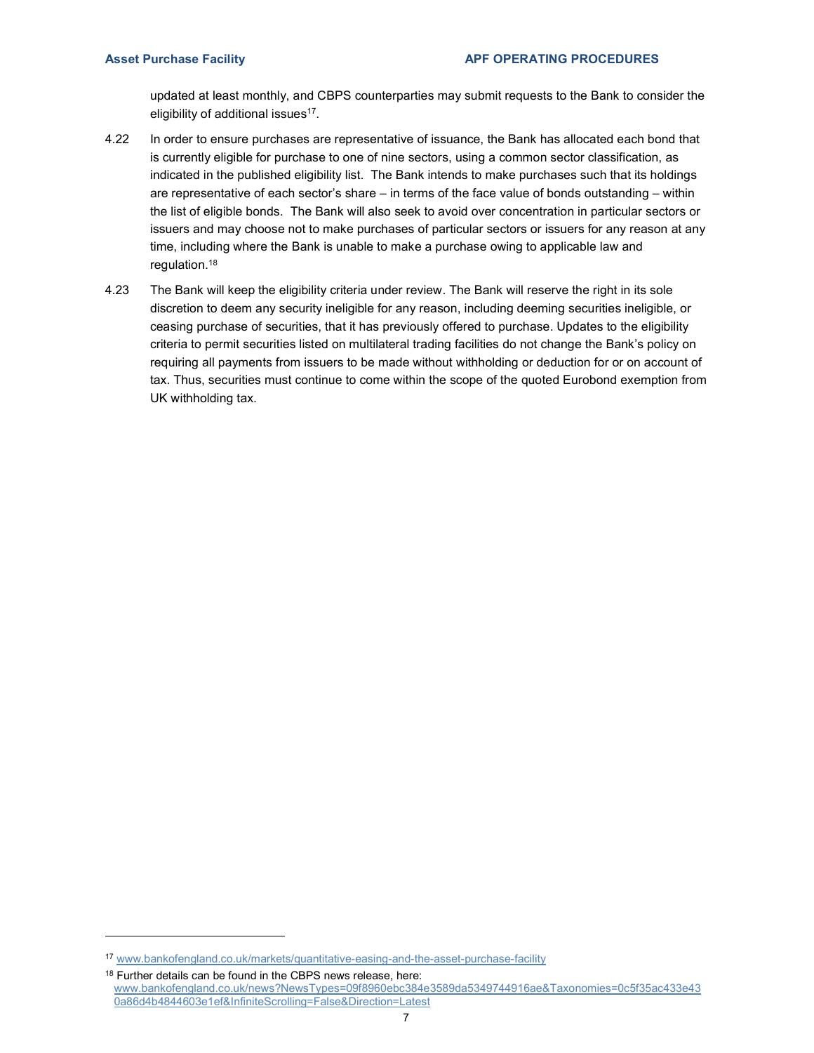updated at least monthly, and CBPS counterparties may submit requests to the Bank to consider the eligibility of additional issues<sup>17</sup>.

- 4.22 In order to ensure purchases are representative of issuance, the Bank has allocated each bond that is currently eligible for purchase to one of nine sectors, using a common sector classification, as indicated in the published eligibility list. The Bank intends to make purchases such that its holdings are representative of each sector's share – in terms of the face value of bonds outstanding – within the list of eligible bonds. The Bank will also seek to avoid over concentration in particular sectors or issuers and may choose not to make purchases of particular sectors or issuers for any reason at any time, including where the Bank is unable to make a purchase owing to applicable law and regulation.<sup>18</sup>
- 4.23 The Bank will keep the eligibility criteria under review. The Bank will reserve the right in its sole discretion to deem any security ineligible for any reason, including deeming securities ineligible, or ceasing purchase of securities, that it has previously offered to purchase. Updates to the eligibility criteria to permit securities listed on multilateral trading facilities do not change the Bank's policy on requiring all payments from issuers to be made without withholding or deduction for or on account of tax. Thus, securities must continue to come within the scope of the quoted Eurobond exemption from UK withholding tax.

<sup>17</sup> www.bankofengland.co.uk/markets/quantitative-easing-and-the-asset-purchase-facility

<sup>&</sup>lt;sup>18</sup> Further details can be found in the CBPS news release, here: www.bankofengland.co.uk/news?NewsTypes=09f8960ebc384e3589da5349744916ae&Taxonomies=0c5f35ac433e43 0a86d4b4844603e1ef&InfiniteScrolling=False&Direction=Latest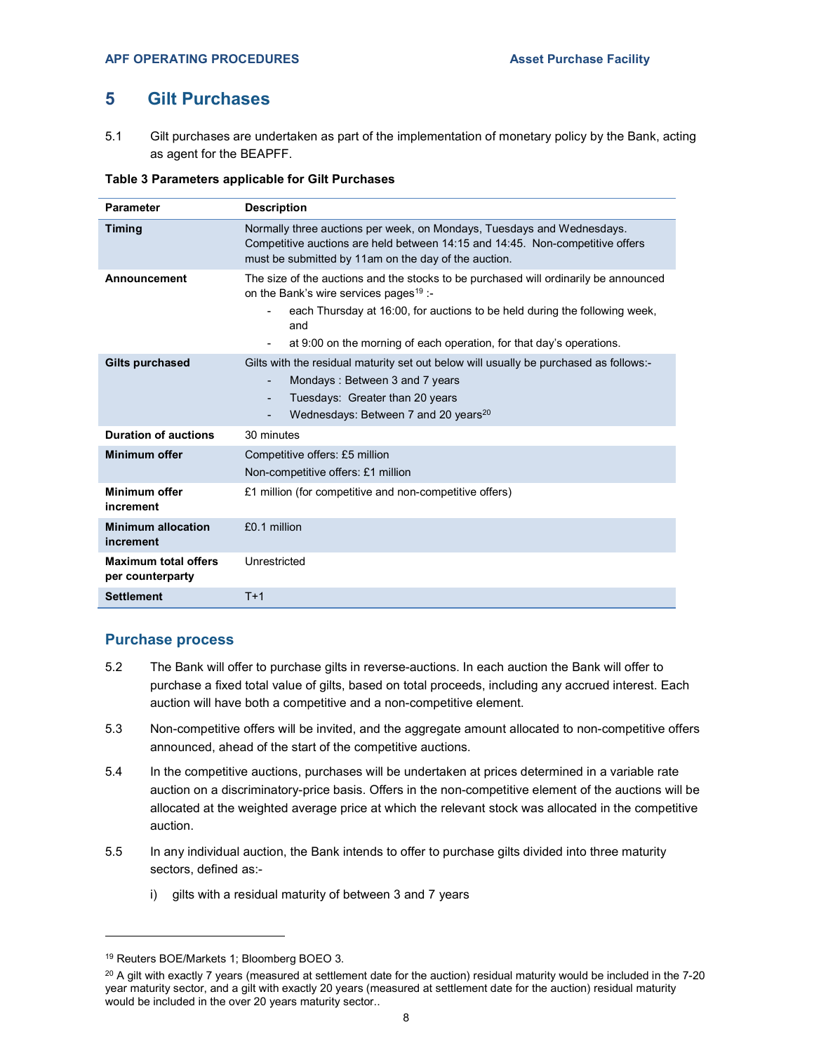## 5 Gilt Purchases

5.1 Gilt purchases are undertaken as part of the implementation of monetary policy by the Bank, acting as agent for the BEAPFF.

#### Table 3 Parameters applicable for Gilt Purchases

| <b>Parameter</b>                                | <b>Description</b>                                                                                                                                                                                                                                                                                      |  |  |
|-------------------------------------------------|---------------------------------------------------------------------------------------------------------------------------------------------------------------------------------------------------------------------------------------------------------------------------------------------------------|--|--|
| <b>Timing</b>                                   | Normally three auctions per week, on Mondays, Tuesdays and Wednesdays.<br>Competitive auctions are held between 14:15 and 14:45. Non-competitive offers<br>must be submitted by 11am on the day of the auction.                                                                                         |  |  |
| Announcement                                    | The size of the auctions and the stocks to be purchased will ordinarily be announced<br>on the Bank's wire services pages <sup>19</sup> :-<br>each Thursday at 16:00, for auctions to be held during the following week,<br>and<br>at 9:00 on the morning of each operation, for that day's operations. |  |  |
| <b>Gilts purchased</b>                          | Gilts with the residual maturity set out below will usually be purchased as follows:-<br>Mondays: Between 3 and 7 years<br>Tuesdays: Greater than 20 years<br>Wednesdays: Between 7 and 20 years <sup>20</sup>                                                                                          |  |  |
| <b>Duration of auctions</b>                     | 30 minutes                                                                                                                                                                                                                                                                                              |  |  |
| <b>Minimum offer</b>                            | Competitive offers: £5 million<br>Non-competitive offers: £1 million                                                                                                                                                                                                                                    |  |  |
| Minimum offer<br>increment                      | £1 million (for competitive and non-competitive offers)                                                                                                                                                                                                                                                 |  |  |
| <b>Minimum allocation</b><br>increment          | £0.1 million                                                                                                                                                                                                                                                                                            |  |  |
| <b>Maximum total offers</b><br>per counterparty | Unrestricted                                                                                                                                                                                                                                                                                            |  |  |
| <b>Settlement</b>                               | $T+1$                                                                                                                                                                                                                                                                                                   |  |  |

#### Purchase process

- 5.2 The Bank will offer to purchase gilts in reverse-auctions. In each auction the Bank will offer to purchase a fixed total value of gilts, based on total proceeds, including any accrued interest. Each auction will have both a competitive and a non-competitive element.
- 5.3 Non-competitive offers will be invited, and the aggregate amount allocated to non-competitive offers announced, ahead of the start of the competitive auctions.
- 5.4 In the competitive auctions, purchases will be undertaken at prices determined in a variable rate auction on a discriminatory-price basis. Offers in the non-competitive element of the auctions will be allocated at the weighted average price at which the relevant stock was allocated in the competitive auction.
- 5.5 In any individual auction, the Bank intends to offer to purchase gilts divided into three maturity sectors, defined as:
	- i) gilts with a residual maturity of between 3 and 7 years

<sup>19</sup> Reuters BOE/Markets 1; Bloomberg BOEO 3.

 $20$  A gilt with exactly 7 years (measured at settlement date for the auction) residual maturity would be included in the 7-20 year maturity sector, and a gilt with exactly 20 years (measured at settlement date for the auction) residual maturity would be included in the over 20 years maturity sector..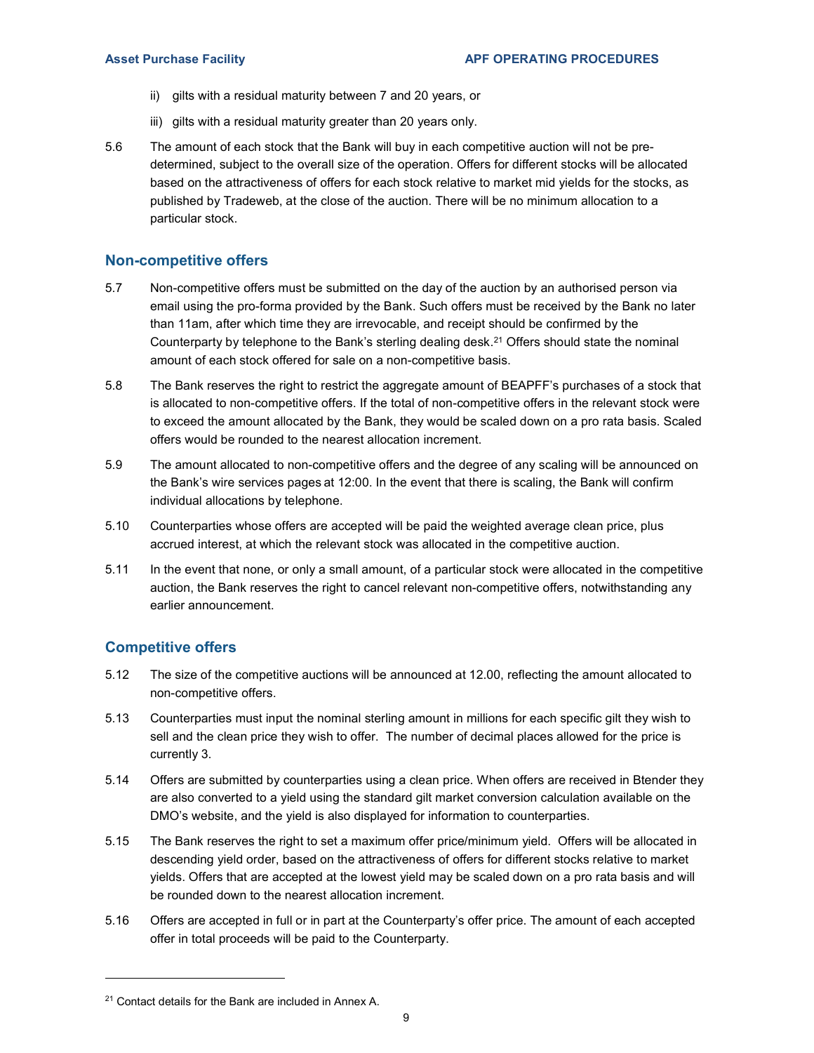- ii) gilts with a residual maturity between 7 and 20 years, or
- iii) gilts with a residual maturity greater than 20 years only.
- 5.6 The amount of each stock that the Bank will buy in each competitive auction will not be predetermined, subject to the overall size of the operation. Offers for different stocks will be allocated based on the attractiveness of offers for each stock relative to market mid yields for the stocks, as published by Tradeweb, at the close of the auction. There will be no minimum allocation to a particular stock.

#### Non-competitive offers

- 5.7 Non-competitive offers must be submitted on the day of the auction by an authorised person via email using the pro-forma provided by the Bank. Such offers must be received by the Bank no later than 11am, after which time they are irrevocable, and receipt should be confirmed by the Counterparty by telephone to the Bank's sterling dealing desk.<sup>21</sup> Offers should state the nominal amount of each stock offered for sale on a non-competitive basis.
- 5.8 The Bank reserves the right to restrict the aggregate amount of BEAPFF's purchases of a stock that is allocated to non-competitive offers. If the total of non-competitive offers in the relevant stock were to exceed the amount allocated by the Bank, they would be scaled down on a pro rata basis. Scaled offers would be rounded to the nearest allocation increment.
- 5.9 The amount allocated to non-competitive offers and the degree of any scaling will be announced on the Bank's wire services pages at 12:00. In the event that there is scaling, the Bank will confirm individual allocations by telephone.
- 5.10 Counterparties whose offers are accepted will be paid the weighted average clean price, plus accrued interest, at which the relevant stock was allocated in the competitive auction.
- 5.11 In the event that none, or only a small amount, of a particular stock were allocated in the competitive auction, the Bank reserves the right to cancel relevant non-competitive offers, notwithstanding any earlier announcement.

#### Competitive offers

- 5.12 The size of the competitive auctions will be announced at 12.00, reflecting the amount allocated to non-competitive offers.
- 5.13 Counterparties must input the nominal sterling amount in millions for each specific gilt they wish to sell and the clean price they wish to offer. The number of decimal places allowed for the price is currently 3.
- 5.14 Offers are submitted by counterparties using a clean price. When offers are received in Btender they are also converted to a yield using the standard gilt market conversion calculation available on the DMO's website, and the yield is also displayed for information to counterparties.
- 5.15 The Bank reserves the right to set a maximum offer price/minimum yield. Offers will be allocated in descending yield order, based on the attractiveness of offers for different stocks relative to market yields. Offers that are accepted at the lowest yield may be scaled down on a pro rata basis and will be rounded down to the nearest allocation increment.
- 5.16 Offers are accepted in full or in part at the Counterparty's offer price. The amount of each accepted offer in total proceeds will be paid to the Counterparty.

<sup>&</sup>lt;sup>21</sup> Contact details for the Bank are included in Annex A.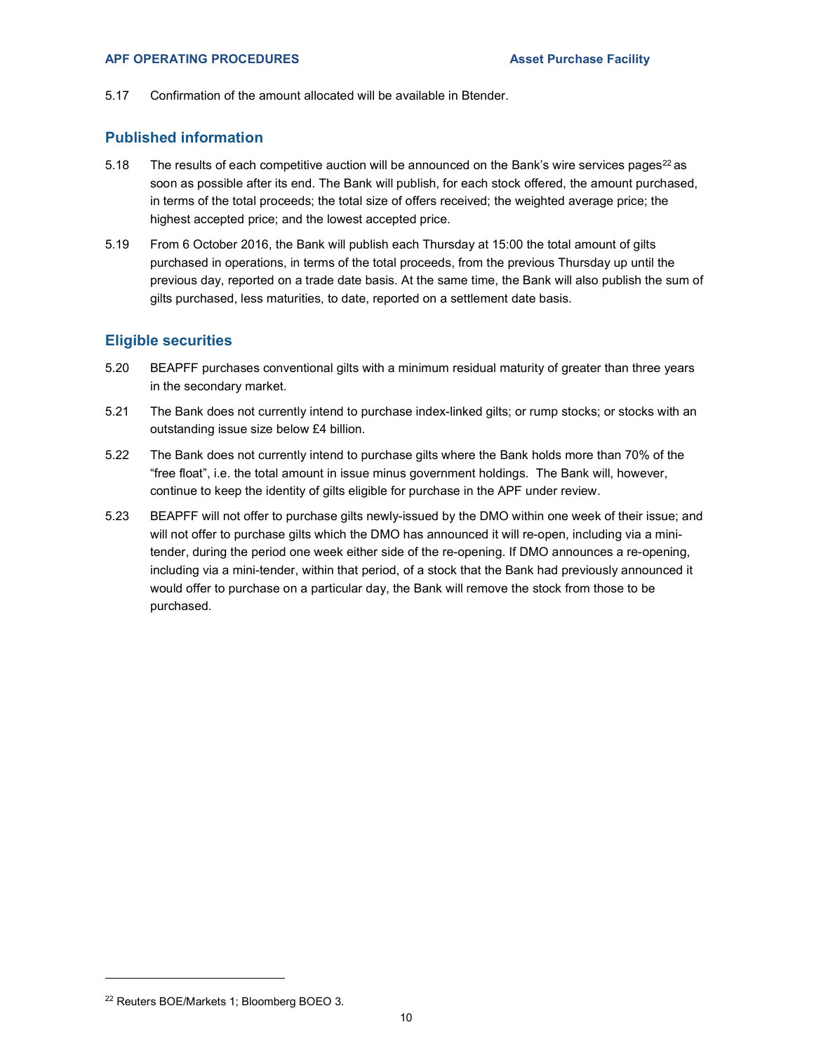5.17 Confirmation of the amount allocated will be available in Btender.

#### Published information

- 5.18 The results of each competitive auction will be announced on the Bank's wire services pages<sup>22</sup> as soon as possible after its end. The Bank will publish, for each stock offered, the amount purchased, in terms of the total proceeds; the total size of offers received; the weighted average price; the highest accepted price; and the lowest accepted price.
- 5.19 From 6 October 2016, the Bank will publish each Thursday at 15:00 the total amount of gilts purchased in operations, in terms of the total proceeds, from the previous Thursday up until the previous day, reported on a trade date basis. At the same time, the Bank will also publish the sum of gilts purchased, less maturities, to date, reported on a settlement date basis.

#### Eligible securities

- 5.20 BEAPFF purchases conventional gilts with a minimum residual maturity of greater than three years in the secondary market.
- 5.21 The Bank does not currently intend to purchase index-linked gilts; or rump stocks; or stocks with an outstanding issue size below £4 billion.
- 5.22 The Bank does not currently intend to purchase gilts where the Bank holds more than 70% of the "free float", i.e. the total amount in issue minus government holdings. The Bank will, however, continue to keep the identity of gilts eligible for purchase in the APF under review.
- 5.23 BEAPFF will not offer to purchase gilts newly-issued by the DMO within one week of their issue; and will not offer to purchase gilts which the DMO has announced it will re-open, including via a minitender, during the period one week either side of the re-opening. If DMO announces a re-opening, including via a mini-tender, within that period, of a stock that the Bank had previously announced it would offer to purchase on a particular day, the Bank will remove the stock from those to be purchased.

<sup>22</sup> Reuters BOE/Markets 1; Bloomberg BOEO 3.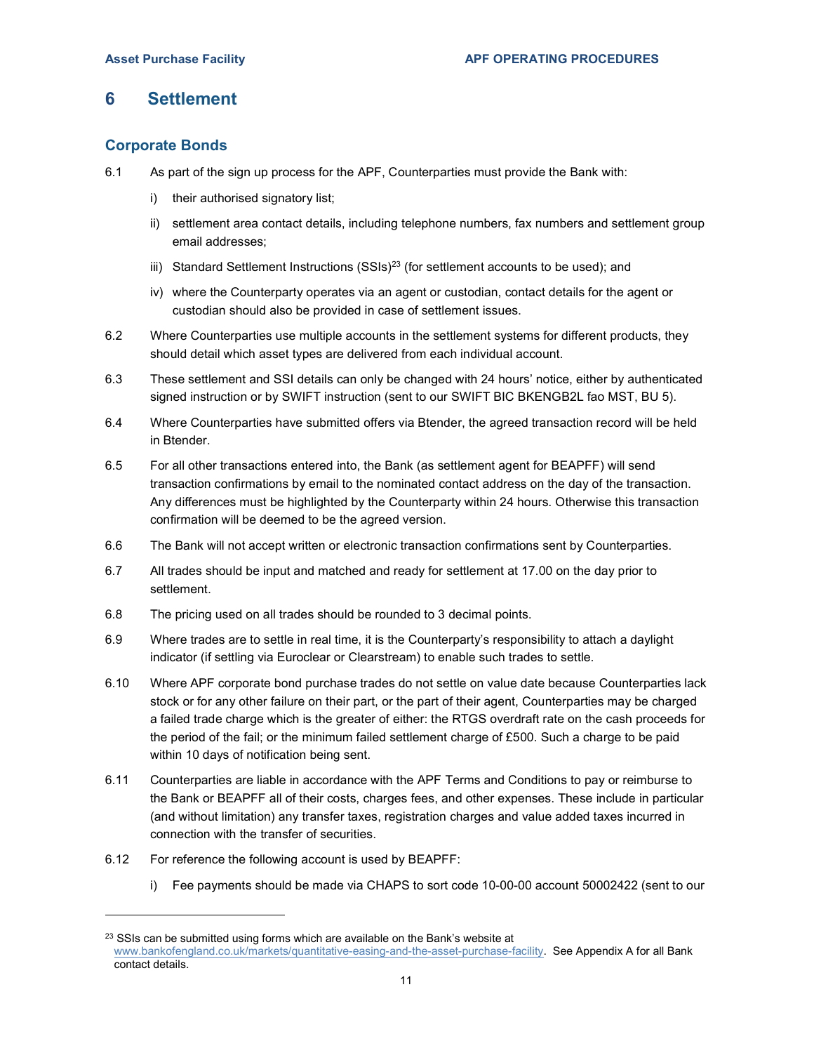## 6 Settlement

## Corporate Bonds

- 6.1 As part of the sign up process for the APF, Counterparties must provide the Bank with:
	- i) their authorised signatory list;
	- ii) settlement area contact details, including telephone numbers, fax numbers and settlement group email addresses;
	- iii) Standard Settlement Instructions  $(SSIs)^{23}$  (for settlement accounts to be used); and
	- iv) where the Counterparty operates via an agent or custodian, contact details for the agent or custodian should also be provided in case of settlement issues.
- 6.2 Where Counterparties use multiple accounts in the settlement systems for different products, they should detail which asset types are delivered from each individual account.
- 6.3 These settlement and SSI details can only be changed with 24 hours' notice, either by authenticated signed instruction or by SWIFT instruction (sent to our SWIFT BIC BKENGB2L fao MST, BU 5).
- 6.4 Where Counterparties have submitted offers via Btender, the agreed transaction record will be held in Btender.
- 6.5 For all other transactions entered into, the Bank (as settlement agent for BEAPFF) will send transaction confirmations by email to the nominated contact address on the day of the transaction. Any differences must be highlighted by the Counterparty within 24 hours. Otherwise this transaction confirmation will be deemed to be the agreed version.
- 6.6 The Bank will not accept written or electronic transaction confirmations sent by Counterparties.
- 6.7 All trades should be input and matched and ready for settlement at 17.00 on the day prior to settlement.
- 6.8 The pricing used on all trades should be rounded to 3 decimal points.
- 6.9 Where trades are to settle in real time, it is the Counterparty's responsibility to attach a daylight indicator (if settling via Euroclear or Clearstream) to enable such trades to settle.
- 6.10 Where APF corporate bond purchase trades do not settle on value date because Counterparties lack stock or for any other failure on their part, or the part of their agent, Counterparties may be charged a failed trade charge which is the greater of either: the RTGS overdraft rate on the cash proceeds for the period of the fail; or the minimum failed settlement charge of £500. Such a charge to be paid within 10 days of notification being sent.
- 6.11 Counterparties are liable in accordance with the APF Terms and Conditions to pay or reimburse to the Bank or BEAPFF all of their costs, charges fees, and other expenses. These include in particular (and without limitation) any transfer taxes, registration charges and value added taxes incurred in connection with the transfer of securities.
- 6.12 For reference the following account is used by BEAPFF:

i) Fee payments should be made via CHAPS to sort code 10-00-00 account 50002422 (sent to our

<sup>&</sup>lt;sup>23</sup> SSIs can be submitted using forms which are available on the Bank's website at www.bankofengland.co.uk/markets/quantitative-easing-and-the-asset-purchase-facility. See Appendix A for all Bank contact details.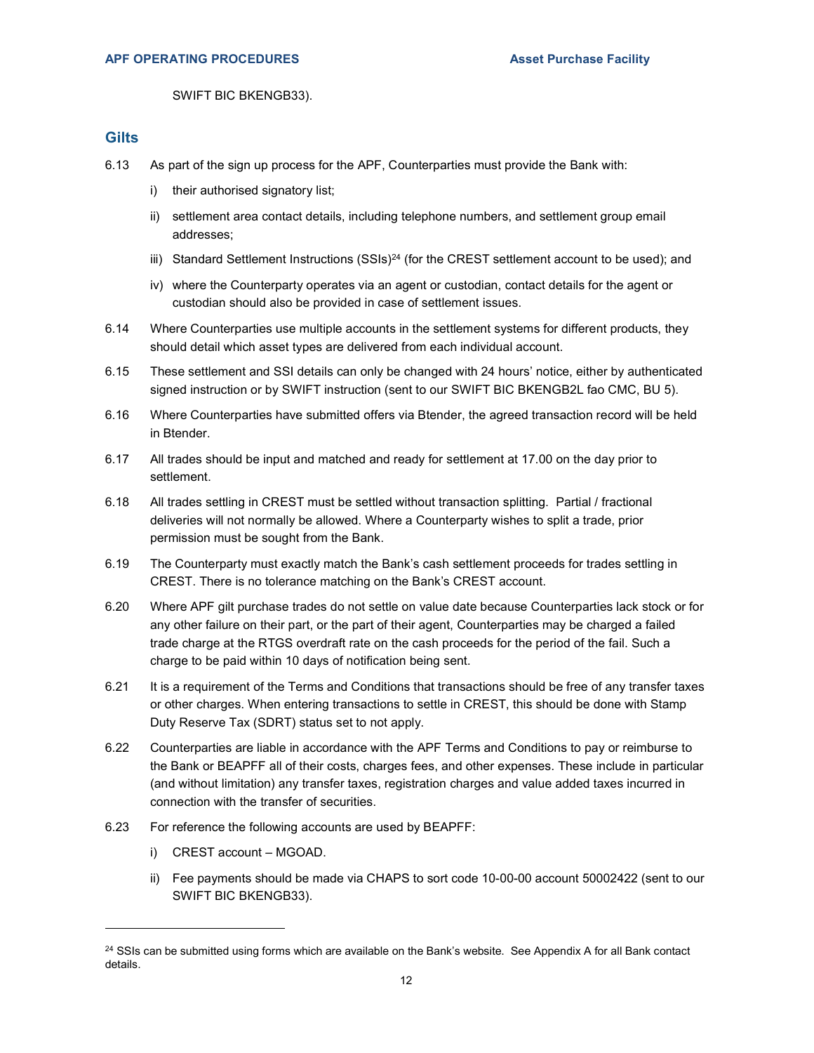SWIFT BIC BKENGB33).

#### **Gilts**

- 6.13 As part of the sign up process for the APF, Counterparties must provide the Bank with:
	- i) their authorised signatory list;
	- ii) settlement area contact details, including telephone numbers, and settlement group email addresses;
	- iii) Standard Settlement Instructions  $(SSIS)^{24}$  (for the CREST settlement account to be used); and
	- iv) where the Counterparty operates via an agent or custodian, contact details for the agent or custodian should also be provided in case of settlement issues.
- 6.14 Where Counterparties use multiple accounts in the settlement systems for different products, they should detail which asset types are delivered from each individual account.
- 6.15 These settlement and SSI details can only be changed with 24 hours' notice, either by authenticated signed instruction or by SWIFT instruction (sent to our SWIFT BIC BKENGB2L fao CMC, BU 5).
- 6.16 Where Counterparties have submitted offers via Btender, the agreed transaction record will be held in Btender.
- 6.17 All trades should be input and matched and ready for settlement at 17.00 on the day prior to settlement.
- 6.18 All trades settling in CREST must be settled without transaction splitting. Partial / fractional deliveries will not normally be allowed. Where a Counterparty wishes to split a trade, prior permission must be sought from the Bank.
- 6.19 The Counterparty must exactly match the Bank's cash settlement proceeds for trades settling in CREST. There is no tolerance matching on the Bank's CREST account.
- 6.20 Where APF gilt purchase trades do not settle on value date because Counterparties lack stock or for any other failure on their part, or the part of their agent, Counterparties may be charged a failed trade charge at the RTGS overdraft rate on the cash proceeds for the period of the fail. Such a charge to be paid within 10 days of notification being sent.
- 6.21 It is a requirement of the Terms and Conditions that transactions should be free of any transfer taxes or other charges. When entering transactions to settle in CREST, this should be done with Stamp Duty Reserve Tax (SDRT) status set to not apply.
- 6.22 Counterparties are liable in accordance with the APF Terms and Conditions to pay or reimburse to the Bank or BEAPFF all of their costs, charges fees, and other expenses. These include in particular (and without limitation) any transfer taxes, registration charges and value added taxes incurred in connection with the transfer of securities.
- 6.23 For reference the following accounts are used by BEAPFF:
	- i) CREST account MGOAD.

ii) Fee payments should be made via CHAPS to sort code 10-00-00 account 50002422 (sent to our SWIFT BIC BKENGB33).

 $24$  SSIs can be submitted using forms which are available on the Bank's website. See Appendix A for all Bank contact details.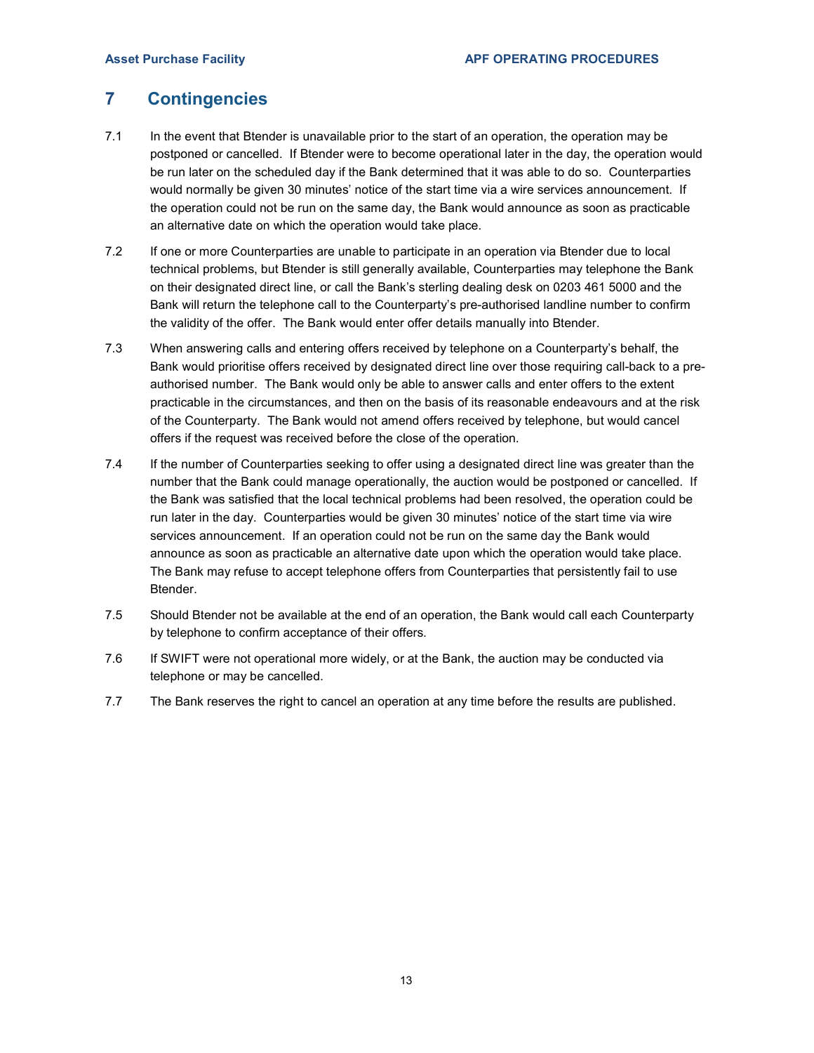## 7 Contingencies

- 7.1 In the event that Btender is unavailable prior to the start of an operation, the operation may be postponed or cancelled. If Btender were to become operational later in the day, the operation would be run later on the scheduled day if the Bank determined that it was able to do so. Counterparties would normally be given 30 minutes' notice of the start time via a wire services announcement. If the operation could not be run on the same day, the Bank would announce as soon as practicable an alternative date on which the operation would take place.
- 7.2 If one or more Counterparties are unable to participate in an operation via Btender due to local technical problems, but Btender is still generally available, Counterparties may telephone the Bank on their designated direct line, or call the Bank's sterling dealing desk on 0203 461 5000 and the Bank will return the telephone call to the Counterparty's pre-authorised landline number to confirm the validity of the offer. The Bank would enter offer details manually into Btender.
- 7.3 When answering calls and entering offers received by telephone on a Counterparty's behalf, the Bank would prioritise offers received by designated direct line over those requiring call-back to a preauthorised number. The Bank would only be able to answer calls and enter offers to the extent practicable in the circumstances, and then on the basis of its reasonable endeavours and at the risk of the Counterparty. The Bank would not amend offers received by telephone, but would cancel offers if the request was received before the close of the operation.
- 7.4 If the number of Counterparties seeking to offer using a designated direct line was greater than the number that the Bank could manage operationally, the auction would be postponed or cancelled. If the Bank was satisfied that the local technical problems had been resolved, the operation could be run later in the day. Counterparties would be given 30 minutes' notice of the start time via wire services announcement. If an operation could not be run on the same day the Bank would announce as soon as practicable an alternative date upon which the operation would take place. The Bank may refuse to accept telephone offers from Counterparties that persistently fail to use Btender.
- 7.5 Should Btender not be available at the end of an operation, the Bank would call each Counterparty by telephone to confirm acceptance of their offers.
- 7.6 If SWIFT were not operational more widely, or at the Bank, the auction may be conducted via telephone or may be cancelled.
- 7.7 The Bank reserves the right to cancel an operation at any time before the results are published.